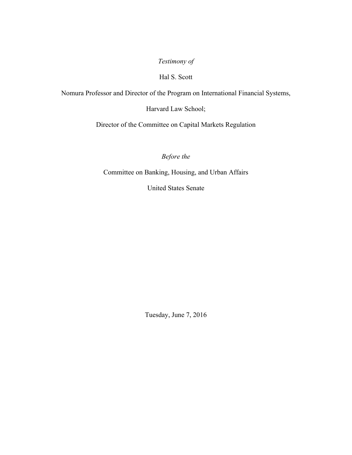*Testimony of*

## Hal S. Scott

Nomura Professor and Director of the Program on International Financial Systems,

Harvard Law School;

Director of the Committee on Capital Markets Regulation

*Before the*

Committee on Banking, Housing, and Urban Affairs

United States Senate

Tuesday, June 7, 2016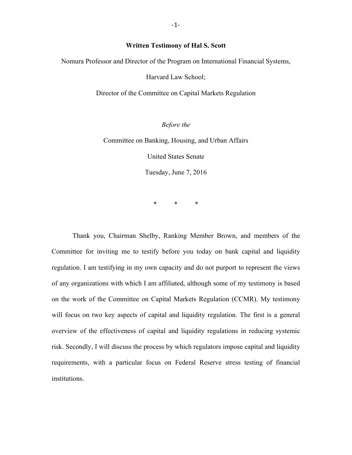## **Written Testimony of Hal S. Scott**

Nomura Professor and Director of the Program on International Financial Systems,

Harvard Law School;

Director of the Committee on Capital Markets Regulation

*Before the*

Committee on Banking, Housing, and Urban Affairs

United States Senate

Tuesday, June 7, 2016

\* \* \*

Thank you, Chairman Shelby, Ranking Member Brown, and members of the Committee for inviting me to testify before you today on bank capital and liquidity regulation. I am testifying in my own capacity and do not purport to represent the views of any organizations with which I am affiliated, although some of my testimony is based on the work of the Committee on Capital Markets Regulation (CCMR). My testimony will focus on two key aspects of capital and liquidity regulation. The first is a general overview of the effectiveness of capital and liquidity regulations in reducing systemic risk. Secondly, I will discuss the process by which regulators impose capital and liquidity requirements, with a particular focus on Federal Reserve stress testing of financial institutions.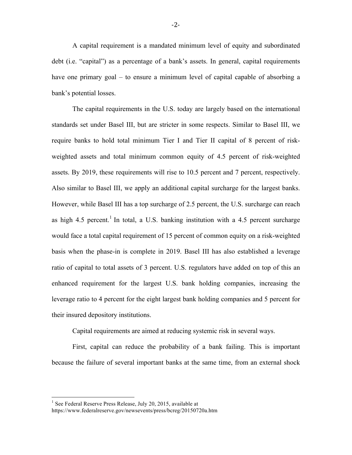A capital requirement is a mandated minimum level of equity and subordinated debt (i.e. "capital") as a percentage of a bank's assets. In general, capital requirements have one primary goal – to ensure a minimum level of capital capable of absorbing a bank's potential losses.

The capital requirements in the U.S. today are largely based on the international standards set under Basel III, but are stricter in some respects. Similar to Basel III, we require banks to hold total minimum Tier I and Tier II capital of 8 percent of riskweighted assets and total minimum common equity of 4.5 percent of risk-weighted assets. By 2019, these requirements will rise to 10.5 percent and 7 percent, respectively. Also similar to Basel III, we apply an additional capital surcharge for the largest banks. However, while Basel III has a top surcharge of 2.5 percent, the U.S. surcharge can reach as high  $4.5$  percent.<sup>1</sup> In total, a U.S. banking institution with a  $4.5$  percent surcharge would face a total capital requirement of 15 percent of common equity on a risk-weighted basis when the phase-in is complete in 2019. Basel III has also established a leverage ratio of capital to total assets of 3 percent. U.S. regulators have added on top of this an enhanced requirement for the largest U.S. bank holding companies, increasing the leverage ratio to 4 percent for the eight largest bank holding companies and 5 percent for their insured depository institutions.

Capital requirements are aimed at reducing systemic risk in several ways.

First, capital can reduce the probability of a bank failing. This is important because the failure of several important banks at the same time, from an external shock

 $1$  See Federal Reserve Press Release, July 20, 2015, available at https://www.federalreserve.gov/newsevents/press/bcreg/20150720a.htm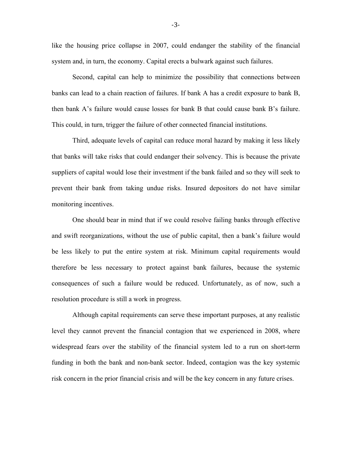like the housing price collapse in 2007, could endanger the stability of the financial system and, in turn, the economy. Capital erects a bulwark against such failures.

Second, capital can help to minimize the possibility that connections between banks can lead to a chain reaction of failures. If bank A has a credit exposure to bank B, then bank A's failure would cause losses for bank B that could cause bank B's failure. This could, in turn, trigger the failure of other connected financial institutions.

Third, adequate levels of capital can reduce moral hazard by making it less likely that banks will take risks that could endanger their solvency. This is because the private suppliers of capital would lose their investment if the bank failed and so they will seek to prevent their bank from taking undue risks. Insured depositors do not have similar monitoring incentives.

One should bear in mind that if we could resolve failing banks through effective and swift reorganizations, without the use of public capital, then a bank's failure would be less likely to put the entire system at risk. Minimum capital requirements would therefore be less necessary to protect against bank failures, because the systemic consequences of such a failure would be reduced. Unfortunately, as of now, such a resolution procedure is still a work in progress.

Although capital requirements can serve these important purposes, at any realistic level they cannot prevent the financial contagion that we experienced in 2008, where widespread fears over the stability of the financial system led to a run on short-term funding in both the bank and non-bank sector. Indeed, contagion was the key systemic risk concern in the prior financial crisis and will be the key concern in any future crises.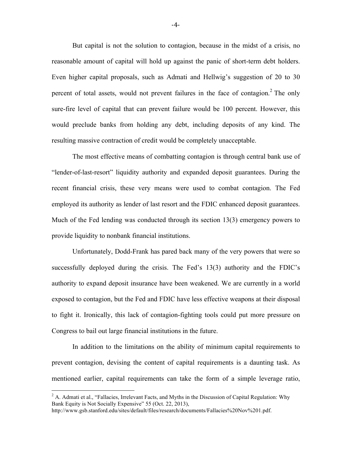But capital is not the solution to contagion, because in the midst of a crisis, no reasonable amount of capital will hold up against the panic of short-term debt holders. Even higher capital proposals, such as Admati and Hellwig's suggestion of 20 to 30 percent of total assets, would not prevent failures in the face of contagion. <sup>2</sup> The only sure-fire level of capital that can prevent failure would be 100 percent. However, this would preclude banks from holding any debt, including deposits of any kind. The resulting massive contraction of credit would be completely unacceptable.

The most effective means of combatting contagion is through central bank use of "lender-of-last-resort" liquidity authority and expanded deposit guarantees. During the recent financial crisis, these very means were used to combat contagion. The Fed employed its authority as lender of last resort and the FDIC enhanced deposit guarantees. Much of the Fed lending was conducted through its section 13(3) emergency powers to provide liquidity to nonbank financial institutions.

Unfortunately, Dodd-Frank has pared back many of the very powers that were so successfully deployed during the crisis. The Fed's 13(3) authority and the FDIC's authority to expand deposit insurance have been weakened. We are currently in a world exposed to contagion, but the Fed and FDIC have less effective weapons at their disposal to fight it. Ironically, this lack of contagion-fighting tools could put more pressure on Congress to bail out large financial institutions in the future.

In addition to the limitations on the ability of minimum capital requirements to prevent contagion, devising the content of capital requirements is a daunting task. As mentioned earlier, capital requirements can take the form of a simple leverage ratio,

 $2^2$  A. Admati et al., "Fallacies, Irrelevant Facts, and Myths in the Discussion of Capital Regulation: Why Bank Equity is Not Socially Expensive" 55 (Oct. 22, 2013),

http://www.gsb.stanford.edu/sites/default/files/research/documents/Fallacies%20Nov%201.pdf.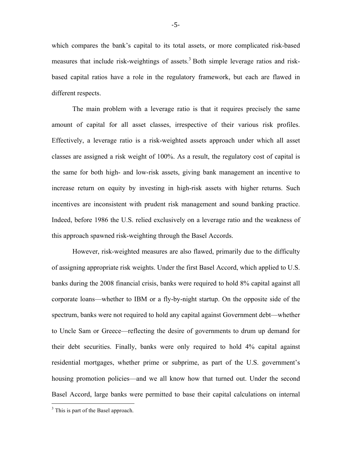which compares the bank's capital to its total assets, or more complicated risk-based measures that include risk-weightings of assets.<sup>3</sup> Both simple leverage ratios and riskbased capital ratios have a role in the regulatory framework, but each are flawed in different respects.

The main problem with a leverage ratio is that it requires precisely the same amount of capital for all asset classes, irrespective of their various risk profiles. Effectively, a leverage ratio is a risk-weighted assets approach under which all asset classes are assigned a risk weight of 100%. As a result, the regulatory cost of capital is the same for both high- and low-risk assets, giving bank management an incentive to increase return on equity by investing in high-risk assets with higher returns. Such incentives are inconsistent with prudent risk management and sound banking practice. Indeed, before 1986 the U.S. relied exclusively on a leverage ratio and the weakness of this approach spawned risk-weighting through the Basel Accords.

However, risk-weighted measures are also flawed, primarily due to the difficulty of assigning appropriate risk weights. Under the first Basel Accord, which applied to U.S. banks during the 2008 financial crisis, banks were required to hold 8% capital against all corporate loans—whether to IBM or a fly-by-night startup. On the opposite side of the spectrum, banks were not required to hold any capital against Government debt—whether to Uncle Sam or Greece—reflecting the desire of governments to drum up demand for their debt securities. Finally, banks were only required to hold 4% capital against residential mortgages, whether prime or subprime, as part of the U.S. government's housing promotion policies—and we all know how that turned out. Under the second Basel Accord, large banks were permitted to base their capital calculations on internal

 $3$  This is part of the Basel approach.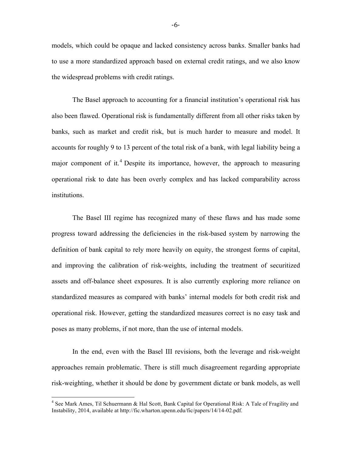models, which could be opaque and lacked consistency across banks. Smaller banks had to use a more standardized approach based on external credit ratings, and we also know the widespread problems with credit ratings.

The Basel approach to accounting for a financial institution's operational risk has also been flawed. Operational risk is fundamentally different from all other risks taken by banks, such as market and credit risk, but is much harder to measure and model. It accounts for roughly 9 to 13 percent of the total risk of a bank, with legal liability being a major component of it.<sup>4</sup> Despite its importance, however, the approach to measuring operational risk to date has been overly complex and has lacked comparability across institutions.

The Basel III regime has recognized many of these flaws and has made some progress toward addressing the deficiencies in the risk-based system by narrowing the definition of bank capital to rely more heavily on equity, the strongest forms of capital, and improving the calibration of risk-weights, including the treatment of securitized assets and off-balance sheet exposures. It is also currently exploring more reliance on standardized measures as compared with banks' internal models for both credit risk and operational risk. However, getting the standardized measures correct is no easy task and poses as many problems, if not more, than the use of internal models.

In the end, even with the Basel III revisions, both the leverage and risk-weight approaches remain problematic. There is still much disagreement regarding appropriate risk-weighting, whether it should be done by government dictate or bank models, as well

 <sup>4</sup> See Mark Ames, Til Schuermann & Hal Scott, Bank Capital for Operational Risk: A Tale of Fragility and Instability, 2014, available at http://fic.wharton.upenn.edu/fic/papers/14/14-02.pdf.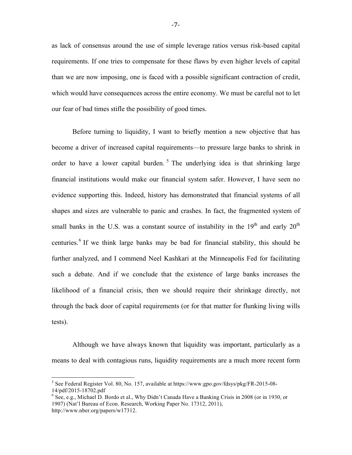as lack of consensus around the use of simple leverage ratios versus risk-based capital requirements. If one tries to compensate for these flaws by even higher levels of capital than we are now imposing, one is faced with a possible significant contraction of credit, which would have consequences across the entire economy. We must be careful not to let our fear of bad times stifle the possibility of good times.

Before turning to liquidity, I want to briefly mention a new objective that has become a driver of increased capital requirements—to pressure large banks to shrink in order to have a lower capital burden.<sup>5</sup> The underlying idea is that shrinking large financial institutions would make our financial system safer. However, I have seen no evidence supporting this. Indeed, history has demonstrated that financial systems of all shapes and sizes are vulnerable to panic and crashes. In fact, the fragmented system of small banks in the U.S. was a constant source of instability in the  $19<sup>th</sup>$  and early  $20<sup>th</sup>$ centuries.<sup>6</sup> If we think large banks may be bad for financial stability, this should be further analyzed, and I commend Neel Kashkari at the Minneapolis Fed for facilitating such a debate. And if we conclude that the existence of large banks increases the likelihood of a financial crisis, then we should require their shrinkage directly, not through the back door of capital requirements (or for that matter for flunking living wills tests).

Although we have always known that liquidity was important, particularly as a means to deal with contagious runs, liquidity requirements are a much more recent form

 <sup>5</sup> See Federal Register Vol. 80, No. 157, available at https://www.gpo.gov/fdsys/pkg/FR-2015-08- 14/pdf/2015-18702.pdf <sup>6</sup> See, e.g., Michael D. Bordo et al., Why Didn't Canada Have a Banking Crisis in 2008 (or in 1930, or

<sup>1907) (</sup>Nat'l Bureau of Econ. Research, Working Paper No. 17312, 2011), http://www.nber.org/papers/w17312.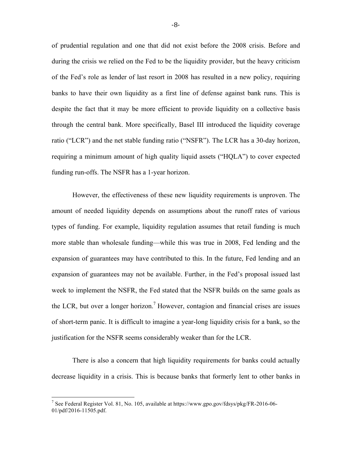of prudential regulation and one that did not exist before the 2008 crisis. Before and during the crisis we relied on the Fed to be the liquidity provider, but the heavy criticism of the Fed's role as lender of last resort in 2008 has resulted in a new policy, requiring banks to have their own liquidity as a first line of defense against bank runs. This is despite the fact that it may be more efficient to provide liquidity on a collective basis through the central bank. More specifically, Basel III introduced the liquidity coverage ratio ("LCR") and the net stable funding ratio ("NSFR"). The LCR has a 30-day horizon, requiring a minimum amount of high quality liquid assets ("HQLA") to cover expected funding run-offs. The NSFR has a 1-year horizon.

However, the effectiveness of these new liquidity requirements is unproven. The amount of needed liquidity depends on assumptions about the runoff rates of various types of funding. For example, liquidity regulation assumes that retail funding is much more stable than wholesale funding—while this was true in 2008, Fed lending and the expansion of guarantees may have contributed to this. In the future, Fed lending and an expansion of guarantees may not be available. Further, in the Fed's proposal issued last week to implement the NSFR, the Fed stated that the NSFR builds on the same goals as the LCR, but over a longer horizon.<sup>7</sup> However, contagion and financial crises are issues of short-term panic. It is difficult to imagine a year-long liquidity crisis for a bank, so the justification for the NSFR seems considerably weaker than for the LCR.

There is also a concern that high liquidity requirements for banks could actually decrease liquidity in a crisis. This is because banks that formerly lent to other banks in

<sup>&</sup>lt;sup>7</sup> See Federal Register Vol. 81, No. 105, available at https://www.gpo.gov/fdsys/pkg/FR-2016-06-01/pdf/2016-11505.pdf.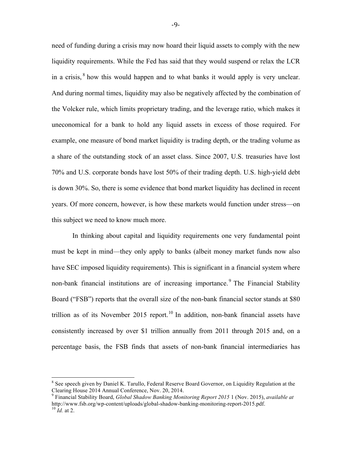need of funding during a crisis may now hoard their liquid assets to comply with the new liquidity requirements. While the Fed has said that they would suspend or relax the LCR in a crisis,  $\delta$  how this would happen and to what banks it would apply is very unclear. And during normal times, liquidity may also be negatively affected by the combination of the Volcker rule, which limits proprietary trading, and the leverage ratio, which makes it uneconomical for a bank to hold any liquid assets in excess of those required. For example, one measure of bond market liquidity is trading depth, or the trading volume as a share of the outstanding stock of an asset class. Since 2007, U.S. treasuries have lost 70% and U.S. corporate bonds have lost 50% of their trading depth. U.S. high-yield debt is down 30%. So, there is some evidence that bond market liquidity has declined in recent years. Of more concern, however, is how these markets would function under stress—on this subject we need to know much more.

In thinking about capital and liquidity requirements one very fundamental point must be kept in mind—they only apply to banks (albeit money market funds now also have SEC imposed liquidity requirements). This is significant in a financial system where non-bank financial institutions are of increasing importance.<sup>9</sup> The Financial Stability Board ("FSB") reports that the overall size of the non-bank financial sector stands at \$80 trillion as of its November 2015 report.<sup>10</sup> In addition, non-bank financial assets have consistently increased by over \$1 trillion annually from 2011 through 2015 and, on a percentage basis, the FSB finds that assets of non-bank financial intermediaries has

<sup>&</sup>lt;sup>8</sup> See speech given by Daniel K. Tarullo, Federal Reserve Board Governor, on Liquidity Regulation at the Clearing House 2014 Annual Conference, Nov. 20, 2014.

<sup>9</sup> Financial Stability Board, *Global Shadow Banking Monitoring Report 2015* 1 (Nov. 2015), *available at*  http://www.fsb.org/wp-content/uploads/global-shadow-banking-monitoring-report-2015.pdf. <sup>10</sup> *Id.* at 2.

<sup>-9-</sup>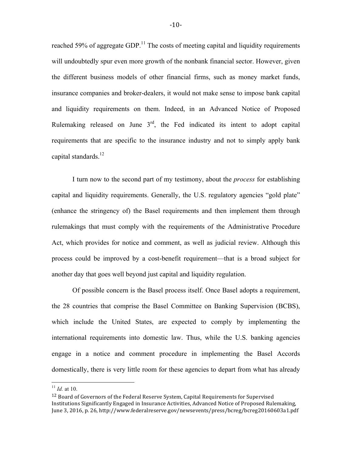reached 59% of aggregate GDP.<sup>11</sup> The costs of meeting capital and liquidity requirements will undoubtedly spur even more growth of the nonbank financial sector. However, given the different business models of other financial firms, such as money market funds, insurance companies and broker-dealers, it would not make sense to impose bank capital and liquidity requirements on them. Indeed, in an Advanced Notice of Proposed Rulemaking released on June  $3<sup>rd</sup>$ , the Fed indicated its intent to adopt capital requirements that are specific to the insurance industry and not to simply apply bank capital standards.<sup>12</sup>

I turn now to the second part of my testimony, about the *process* for establishing capital and liquidity requirements. Generally, the U.S. regulatory agencies "gold plate" (enhance the stringency of) the Basel requirements and then implement them through rulemakings that must comply with the requirements of the Administrative Procedure Act, which provides for notice and comment, as well as judicial review. Although this process could be improved by a cost-benefit requirement—that is a broad subject for another day that goes well beyond just capital and liquidity regulation.

Of possible concern is the Basel process itself. Once Basel adopts a requirement, the 28 countries that comprise the Basel Committee on Banking Supervision (BCBS), which include the United States, are expected to comply by implementing the international requirements into domestic law. Thus, while the U.S. banking agencies engage in a notice and comment procedure in implementing the Basel Accords domestically, there is very little room for these agencies to depart from what has already

 <sup>11</sup> *Id.* at 10.

 $12$  Board of Governors of the Federal Reserve System, Capital Requirements for Supervised Institutions Significantly Engaged in Insurance Activities, Advanced Notice of Proposed Rulemaking, June 3, 2016, p. 26, http://www.federalreserve.gov/newsevents/press/bcreg/bcreg20160603a1.pdf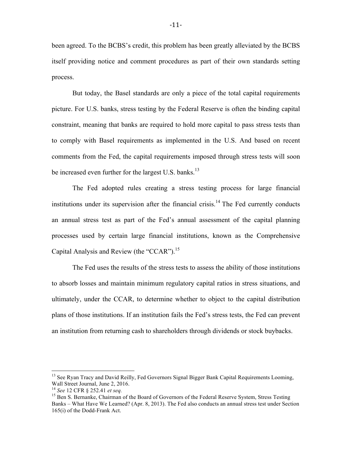been agreed. To the BCBS's credit, this problem has been greatly alleviated by the BCBS itself providing notice and comment procedures as part of their own standards setting process.

But today, the Basel standards are only a piece of the total capital requirements picture. For U.S. banks, stress testing by the Federal Reserve is often the binding capital constraint, meaning that banks are required to hold more capital to pass stress tests than to comply with Basel requirements as implemented in the U.S. And based on recent comments from the Fed, the capital requirements imposed through stress tests will soon be increased even further for the largest U.S. banks.<sup>13</sup>

The Fed adopted rules creating a stress testing process for large financial institutions under its supervision after the financial crisis.<sup>14</sup> The Fed currently conducts an annual stress test as part of the Fed's annual assessment of the capital planning processes used by certain large financial institutions, known as the Comprehensive Capital Analysis and Review (the "CCAR").<sup>15</sup>

The Fed uses the results of the stress tests to assess the ability of those institutions to absorb losses and maintain minimum regulatory capital ratios in stress situations, and ultimately, under the CCAR, to determine whether to object to the capital distribution plans of those institutions. If an institution fails the Fed's stress tests, the Fed can prevent an institution from returning cash to shareholders through dividends or stock buybacks.

<sup>&</sup>lt;sup>13</sup> See Ryan Tracy and David Reilly, Fed Governors Signal Bigger Bank Capital Requirements Looming, Wall Street Journal, June 2, 2016.<br><sup>14</sup> See 12 CFR § 252.41 et seq.

<sup>&</sup>lt;sup>15</sup> Ben S. Bernanke, Chairman of the Board of Governors of the Federal Reserve System, Stress Testing Banks – What Have We Learned? (Apr. 8, 2013). The Fed also conducts an annual stress test under Section 165(i) of the Dodd-Frank Act.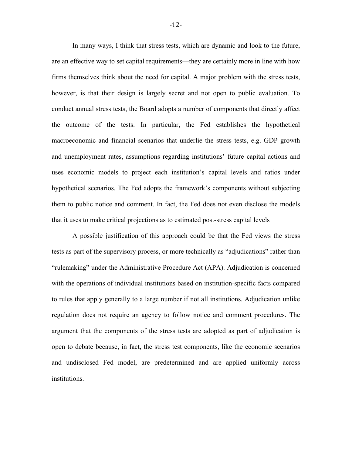In many ways, I think that stress tests, which are dynamic and look to the future, are an effective way to set capital requirements—they are certainly more in line with how firms themselves think about the need for capital. A major problem with the stress tests, however, is that their design is largely secret and not open to public evaluation. To conduct annual stress tests, the Board adopts a number of components that directly affect the outcome of the tests. In particular, the Fed establishes the hypothetical macroeconomic and financial scenarios that underlie the stress tests, e.g. GDP growth and unemployment rates, assumptions regarding institutions' future capital actions and uses economic models to project each institution's capital levels and ratios under hypothetical scenarios. The Fed adopts the framework's components without subjecting them to public notice and comment. In fact, the Fed does not even disclose the models that it uses to make critical projections as to estimated post-stress capital levels

A possible justification of this approach could be that the Fed views the stress tests as part of the supervisory process, or more technically as "adjudications" rather than "rulemaking" under the Administrative Procedure Act (APA). Adjudication is concerned with the operations of individual institutions based on institution-specific facts compared to rules that apply generally to a large number if not all institutions. Adjudication unlike regulation does not require an agency to follow notice and comment procedures. The argument that the components of the stress tests are adopted as part of adjudication is open to debate because, in fact, the stress test components, like the economic scenarios and undisclosed Fed model, are predetermined and are applied uniformly across institutions.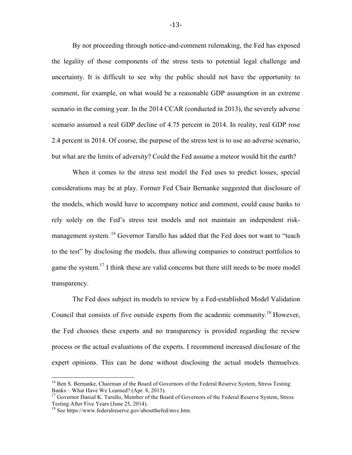By not proceeding through notice-and-comment rulemaking, the Fed has exposed the legality of those components of the stress tests to potential legal challenge and uncertainty. It is difficult to see why the public should not have the opportunity to comment, for example, on what would be a reasonable GDP assumption in an extreme scenario in the coming year. In the 2014 CCAR (conducted in 2013), the severely adverse scenario assumed a real GDP decline of 4.75 percent in 2014. In reality, real GDP rose 2.4 percent in 2014. Of course, the purpose of the stress test is to use an adverse scenario, but what are the limits of adversity? Could the Fed assume a meteor would hit the earth?

When it comes to the stress test model the Fed uses to predict losses, special considerations may be at play. Former Fed Chair Bernanke suggested that disclosure of the models, which would have to accompany notice and comment, could cause banks to rely solely on the Fed's stress test models and not maintain an independent riskmanagement system.<sup>16</sup> Governor Tarullo has added that the Fed does not want to "teach" to the test" by disclosing the models, thus allowing companies to construct portfolios to game the system.<sup>17</sup> I think these are valid concerns but there still needs to be more model transparency.

The Fed does subject its models to review by a Fed-established Model Validation Council that consists of five outside experts from the academic community.<sup>18</sup> However, the Fed chooses these experts and no transparency is provided regarding the review process or the actual evaluations of the experts. I recommend increased disclosure of the expert opinions. This can be done without disclosing the actual models themselves.

<sup>&</sup>lt;sup>16</sup> Ben S. Bernanke, Chairman of the Board of Governors of the Federal Reserve System, Stress Testing

Banks – What Have We Learned? (Apr. 8, 2013).<br><sup>17</sup> Governor Danial K. Tarullo, Member of the Board of Governors of the Federal Reserve System, Stress<br>Testing After Five Years (June 25, 2014).

 $18$  See https://www.federalreserve.gov/aboutthefed/mvc.htm.